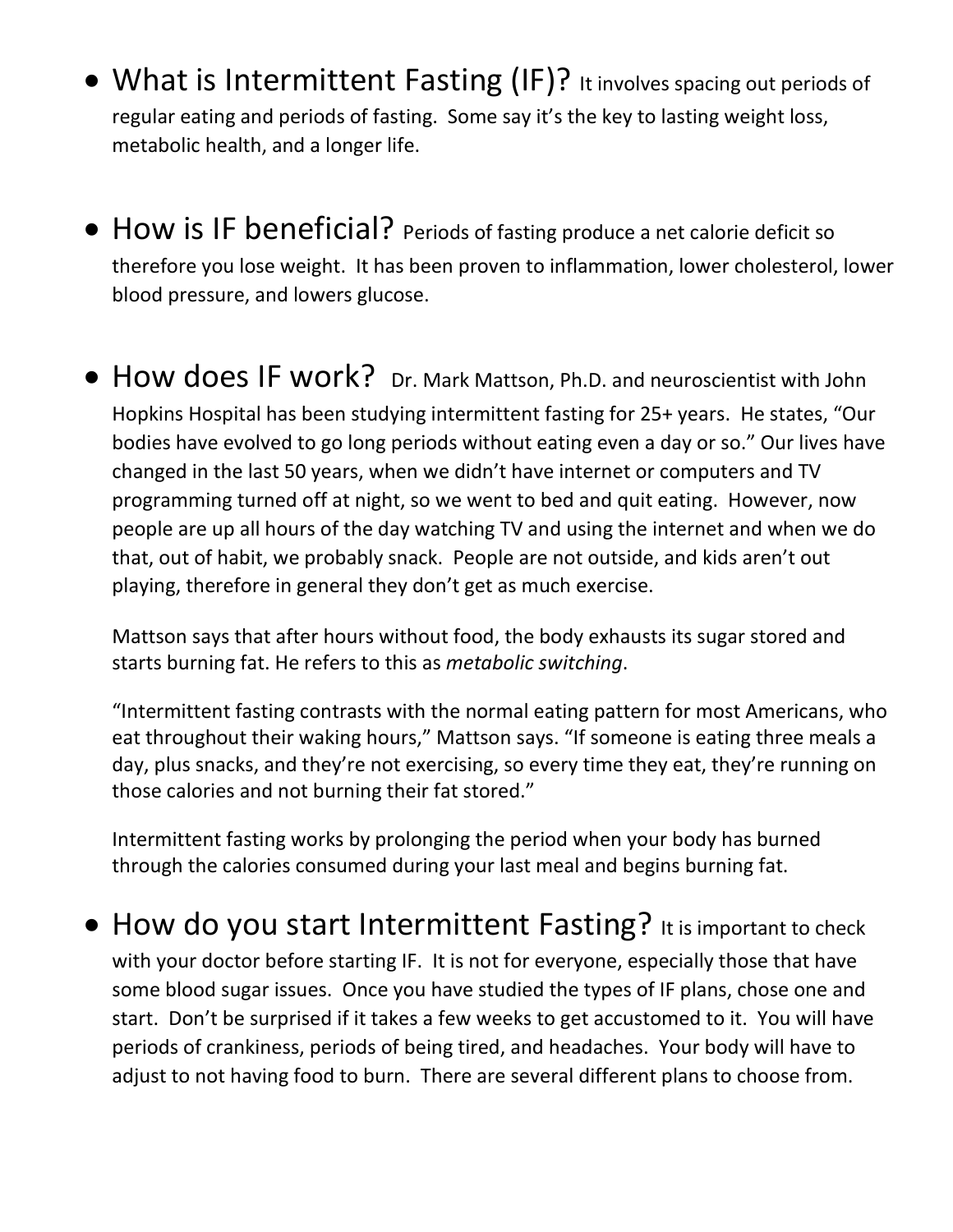- What is Intermittent Fasting (IF)? It involves spacing out periods of regular eating and periods of fasting. Some say it's the key to lasting weight loss, metabolic health, and a longer life.
- How is IF beneficial? Periods of fasting produce a net calorie deficit so therefore you lose weight. It has been proven to inflammation, lower cholesterol, lower blood pressure, and lowers glucose.
- How does IF work? Dr. Mark Mattson, Ph.D. and neuroscientist with John Hopkins Hospital has been studying intermittent fasting for 25+ years. He states, "Our bodies have evolved to go long periods without eating even a day or so." Our lives have changed in the last 50 years, when we didn't have internet or computers and TV programming turned off at night, so we went to bed and quit eating. However, now people are up all hours of the day watching TV and using the internet and when we do that, out of habit, we probably snack. People are not outside, and kids aren't out playing, therefore in general they don't get as much exercise.

Mattson says that after hours without food, the body exhausts its sugar stored and starts burning fat. He refers to this as *metabolic switching*.

"Intermittent fasting contrasts with the normal eating pattern for most Americans, who eat throughout their waking hours," Mattson says. "If someone is eating three meals a day, plus snacks, and they're not exercising, so every time they eat, they're running on those calories and not burning their fat stored."

Intermittent fasting works by prolonging the period when your body has burned through the calories consumed during your last meal and begins burning fat.

• How do you start Intermittent Fasting? It is important to check with your doctor before starting IF. It is not for everyone, especially those that have some blood sugar issues. Once you have studied the types of IF plans, chose one and start. Don't be surprised if it takes a few weeks to get accustomed to it. You will have periods of crankiness, periods of being tired, and headaches. Your body will have to adjust to not having food to burn. There are several different plans to choose from.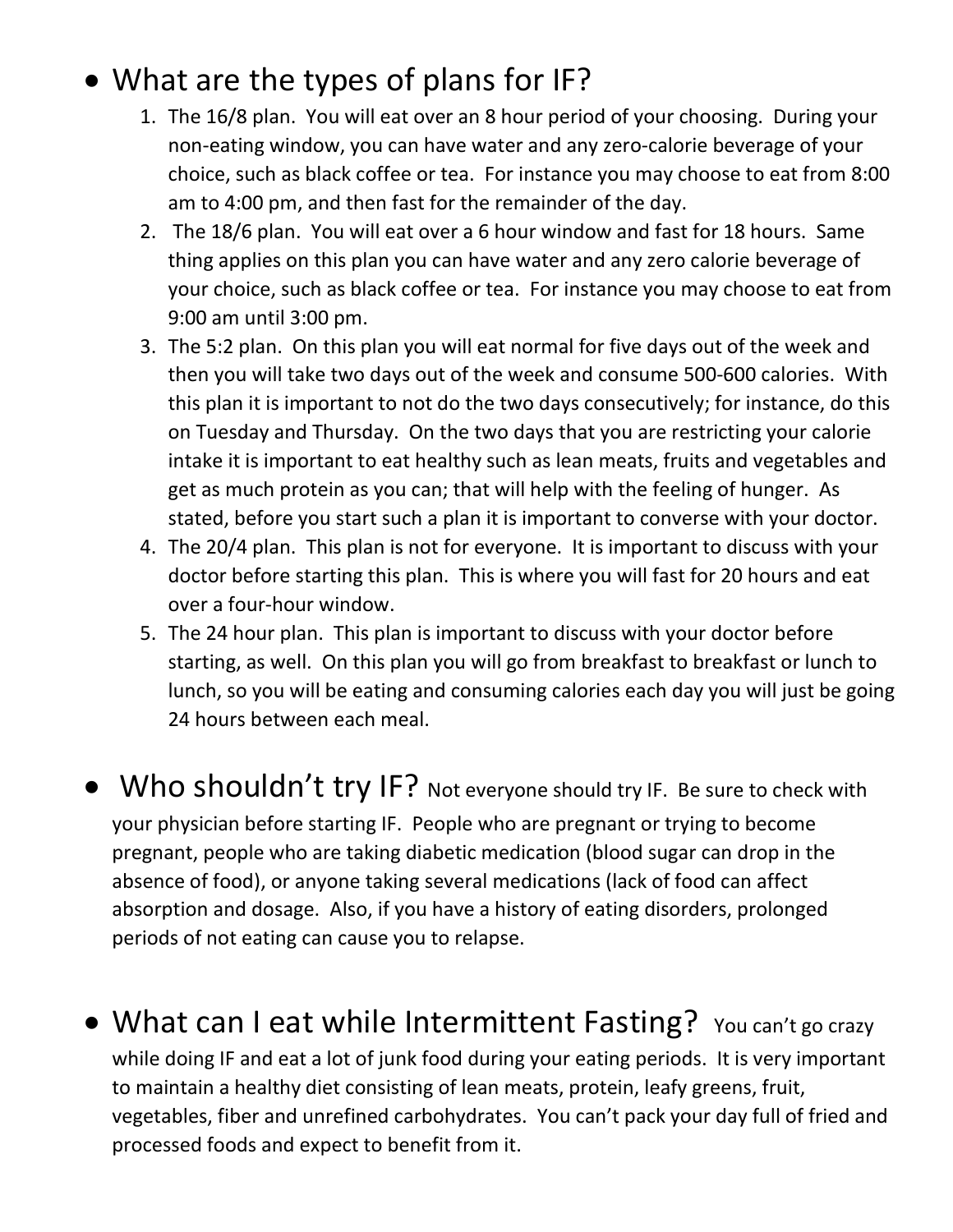# • What are the types of plans for IF?

- 1. The 16/8 plan. You will eat over an 8 hour period of your choosing. During your non-eating window, you can have water and any zero-calorie beverage of your choice, such as black coffee or tea. For instance you may choose to eat from 8:00 am to 4:00 pm, and then fast for the remainder of the day.
- 2. The 18/6 plan. You will eat over a 6 hour window and fast for 18 hours. Same thing applies on this plan you can have water and any zero calorie beverage of your choice, such as black coffee or tea. For instance you may choose to eat from 9:00 am until 3:00 pm.
- 3. The 5:2 plan. On this plan you will eat normal for five days out of the week and then you will take two days out of the week and consume 500-600 calories. With this plan it is important to not do the two days consecutively; for instance, do this on Tuesday and Thursday. On the two days that you are restricting your calorie intake it is important to eat healthy such as lean meats, fruits and vegetables and get as much protein as you can; that will help with the feeling of hunger. As stated, before you start such a plan it is important to converse with your doctor.
- 4. The 20/4 plan. This plan is not for everyone. It is important to discuss with your doctor before starting this plan. This is where you will fast for 20 hours and eat over a four-hour window.
- 5. The 24 hour plan. This plan is important to discuss with your doctor before starting, as well. On this plan you will go from breakfast to breakfast or lunch to lunch, so you will be eating and consuming calories each day you will just be going 24 hours between each meal.
- Who shouldn't try IF? Not everyone should try IF. Be sure to check with your physician before starting IF. People who are pregnant or trying to become pregnant, people who are taking diabetic medication (blood sugar can drop in the absence of food), or anyone taking several medications (lack of food can affect absorption and dosage. Also, if you have a history of eating disorders, prolonged periods of not eating can cause you to relapse.
- What can I eat while Intermittent Fasting? You can't go crazy while doing IF and eat a lot of junk food during your eating periods. It is very important to maintain a healthy diet consisting of lean meats, protein, leafy greens, fruit, vegetables, fiber and unrefined carbohydrates. You can't pack your day full of fried and processed foods and expect to benefit from it.